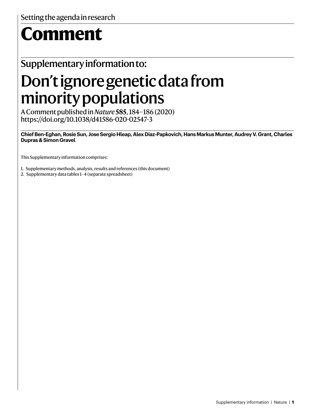# **Comment**

## Supplementary information to:

## Don't ignore genetic data from minority populations

A Comment published in *Nature***585**, 184–186 (2020) https://doi.org/10.1038/d41586-020-02547-3

**Chief Ben-Eghan, Rosie Sun, Jose Sergio Hleap, Alex Diaz-Papkovich, Hans Markus Munter, Audrey V. Grant, Charles Dupras & Simon Gravel**

This Supplementary information comprises:

1. Supplementary methods, analysis, results and references (this document)

2. Supplementary data tables 1–4 (separate spreadsheet)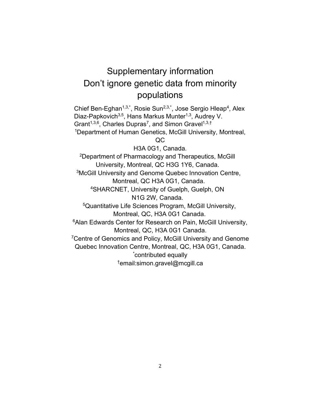## Supplementary information Don't ignore genetic data from minority populations

Chief Ben-Eghan<sup>1,3,\*</sup>, Rosie Sun<sup>2,3,\*</sup>, Jose Sergio Hleap<sup>4</sup>, Alex Diaz-Papkovich<sup>3,5</sup>, Hans Markus Munter<sup>1,3</sup>, Audrey V. Grant<sup>1,3,6</sup>, Charles Dupras<sup>7</sup>, and Simon Gravel<sup>1,3,†</sup> <sup>1</sup>Department of Human Genetics, McGill University, Montreal,

QC

H3A 0G1, Canada.

2Department of Pharmacology and Therapeutics, McGill University, Montreal, QC H3G 1Y6, Canada. 3McGill University and Genome Quebec Innovation Centre, Montreal, QC H3A 0G1, Canada.

4SHARCNET, University of Guelph, Guelph, ON N1G 2W, Canada.

5Quantitative Life Sciences Program, McGill University, Montreal, QC, H3A 0G1 Canada.

<sup>6</sup> Alan Edwards Center for Research on Pain, McGill University, Montreal, QC, H3A 0G1 Canada.

<sup>7</sup>Centre of Genomics and Policy, McGill University and Genome Quebec Innovation Centre, Montreal, QC, H3A 0G1, Canada.

\* contributed equally

†email:simon.gravel@mcgill.ca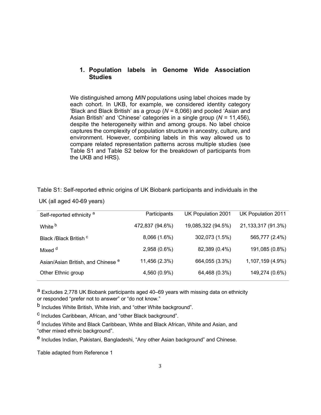#### **1. Population labels in Genome Wide Association Studies**

We distinguished among *MIN* populations using label choices made by each cohort. In UKB, for example, we considered identity category 'Black and Black British' as a group (*N* = 8*,*066) and pooled 'Asian and Asian British' and 'Chinese' categories in a single group (*N* = 11*,*456), despite the heterogeneity within and among groups. No label choice captures the complexity of population structure in ancestry, culture, and environment. However, combining labels in this way allowed us to compare related representation patterns across multiple studies (see Table S1 and Table S2 below for the breakdown of participants from the UKB and HRS).

| Self-reported ethnicity <sup>a</sup>          | Participants    | UK Population 2001 | UK Population 2011   |
|-----------------------------------------------|-----------------|--------------------|----------------------|
| White <sup>b</sup>                            | 472,837 (94.6%) | 19,085,322 (94.5%) | 21, 133, 317 (91.3%) |
| Black /Black British <sup>c</sup>             | 8,066 (1.6%)    | 302,073 (1.5%)     | 565,777 (2.4%)       |
| Mixed d                                       | 2,958 (0.6%)    | 82,389 (0.4%)      | 191,085 (0.8%)       |
| Asian/Asian British, and Chinese <sup>e</sup> | 11,456 (2.3%)   | 664,055 (3.3%)     | 1,107,159 (4.9%)     |
| Other Ethnic group                            | 4,560 (0.9%)    | 64,468 (0.3%)      | 149,274 (0.6%)       |

Table S1: Self-reported ethnic origins of UK Biobank participants and individuals in the

UK (all aged 40-69 years)

a Excludes 2,778 UK Biobank participants aged 40–69 years with missing data on ethnicity or responded "prefer not to answer" or "do not know."

b Includes White British, White Irish, and "other White background".

c Includes Caribbean, African, and "other Black background".

d Includes White and Black Caribbean, White and Black African, White and Asian, and "other mixed ethnic background".

e Includes Indian, Pakistani, Bangladeshi, "Any other Asian background" and Chinese.

Table adapted from Reference 1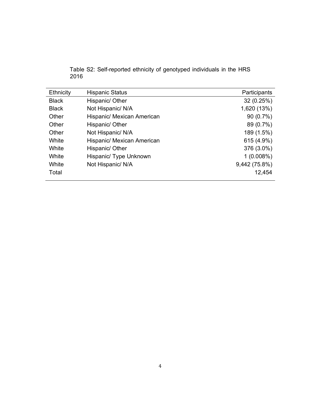| Table S2: Self-reported ethnicity of genotyped individuals in the HRS |  |  |  |
|-----------------------------------------------------------------------|--|--|--|
| 2016                                                                  |  |  |  |

| Ethnicity    | <b>Hispanic Status</b>     | Participants  |
|--------------|----------------------------|---------------|
| <b>Black</b> | Hispanic/ Other            | 32(0.25%)     |
| <b>Black</b> | Not Hispanic/ N/A          | 1,620 (13%)   |
| Other        | Hispanic/ Mexican American | 90(0.7%)      |
| Other        | Hispanic/ Other            | 89 (0.7%)     |
| Other        | Not Hispanic/ N/A          | 189 (1.5%)    |
| White        | Hispanic/ Mexican American | 615 (4.9%)    |
| White        | Hispanic/ Other            | 376 (3.0%)    |
| White        | Hispanic/ Type Unknown     | $1(0.008\%)$  |
| White        | Not Hispanic/ N/A          | 9,442 (75.8%) |
| Total        |                            | 12,454        |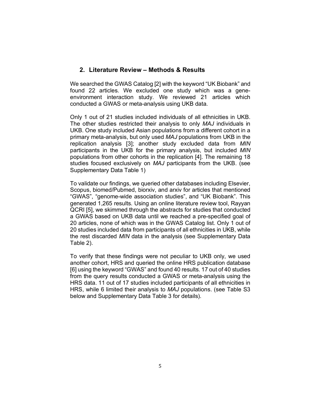#### **2. Literature Review – Methods & Results**

We searched the GWAS Catalog [2] with the keyword "UK Biobank" and found 22 articles. We excluded one study which was a geneenvironment interaction study. We reviewed 21 articles which conducted a GWAS or meta-analysis using UKB data.

Only 1 out of 21 studies included individuals of all ethnicities in UKB. The other studies restricted their analysis to only *MAJ* individuals in UKB. One study included Asian populations from a different cohort in a primary meta-analysis, but only used *MAJ* populations from UKB in the replication analysis [3]; another study excluded data from *MIN*  participants in the UKB for the primary analysis, but included *MIN*  populations from other cohorts in the replication [4]. The remaining 18 studies focused exclusively on *MAJ* participants from the UKB. (see Supplementary Data Table 1)

To validate our findings, we queried other databases including Elsevier, Scopus, biomed/Pubmed, biorxiv, and arxiv for articles that mentioned "GWAS", "genome-wide association studies", and "UK Biobank". This generated 1,265 results. Using an online literature review tool, Rayyan QCRI [5], we skimmed through the abstracts for studies that conducted a GWAS based on UKB data until we reached a pre-specified goal of 20 articles, none of which was in the GWAS Catalog list. Only 1 out of 20 studies included data from participants of all ethnicities in UKB, while the rest discarded *MIN* data in the analysis (see Supplementary Data Table 2).

To verify that these findings were not peculiar to UKB only, we used another cohort, HRS and queried the online HRS publication database [6] using the keyword "GWAS" and found 40 results. 17 out of 40 studies from the query results conducted a GWAS or meta-analysis using the HRS data. 11 out of 17 studies included participants of all ethnicities in HRS, while 6 limited their analysis to *MAJ* populations. (see Table S3 below and Supplementary Data Table 3 for details).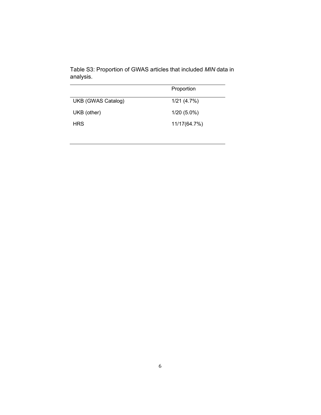|                           | Proportion    |
|---------------------------|---------------|
| <b>UKB (GWAS Catalog)</b> | 1/21(4.7%)    |
| UKB (other)               | $1/20(5.0\%)$ |
| <b>HRS</b>                | 11/17(64.7%)  |
|                           |               |

Table S3: Proportion of GWAS articles that included *MIN* data in analysis.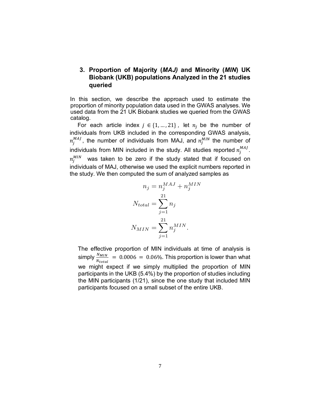#### **3. Proportion of Majority (***MAJ)* **and Minority (***MIN***) UK Biobank (UKB) populations Analyzed in the 21 studies queried**

In this section, we describe the approach used to estimate the proportion of minority population data used in the GWAS analyses. We used data from the 21 UK Biobank studies we queried from the GWAS catalog.

For each article index  $j \in \{1, ..., 21\}$ , let  $n_j$  be the number of individuals from UKB included in the corresponding GWAS analysis,  $n^{MAJ}_j$ , the number of individuals from MAJ, and  $n^{MIN}_j$  the number of individuals from MIN included in the study. All studies reported  $n_j^{MAJ}$ .  $n_j^{MIN}$  was taken to be zero if the study stated that if focused on individuals of MAJ, otherwise we used the explicit numbers reported in the study. We then computed the sum of analyzed samples as

$$
n_j = n_j^{MAJ} + n_j^{MIN}
$$

$$
N_{total} = \sum_{j=1}^{21} n_j
$$

$$
N_{MIN} = \sum_{j=1}^{21} n_j^{MIN}.
$$

The effective proportion of MIN individuals at time of analysis is simply  $\frac{N_{MIN}}{N_{total}}$  = 0.0006 = 0.06%. This proportion is lower than what we might expect if we simply multiplied the proportion of MIN participants in the UKB (5.4%) by the proportion of studies including the MIN participants (1/21), since the one study that included MIN participants focused on a small subset of the entire UKB.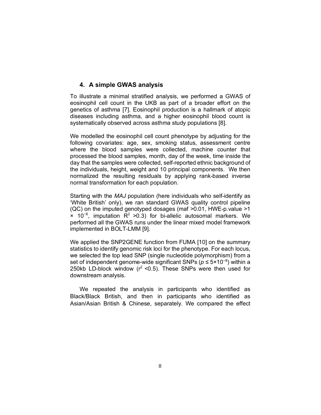#### **4. A simple GWAS analysis**

To illustrate a minimal stratified analysis, we performed a GWAS of eosinophil cell count in the UKB as part of a broader effort on the genetics of asthma [7]. Eosinophil production is a hallmark of atopic diseases including asthma, and a higher eosinophil blood count is systematically observed across asthma study populations [8].

We modelled the eosinophil cell count phenotype by adjusting for the following covariates: age, sex, smoking status, assessment centre where the blood samples were collected, machine counter that processed the blood samples, month, day of the week, time inside the day that the samples were collected, self-reported ethnic background of the individuals, height, weight and 10 principal components. We then normalized the resulting residuals by applying rank-based inverse normal transformation for each population.

Starting with the *MAJ* population (here individuals who self-identify as 'White British' only), we ran standard GWAS quality control pipeline (QC) on the imputed genotyped dosages (maf *>*0.01, HWE-p.value *>*1 × 10−6 , imputation R2 *>*0.3) for bi-allelic autosomal markers. We performed all the GWAS runs under the linear mixed model framework implemented in BOLT-LMM [9].

We applied the SNP2GENE function from FUMA [10] on the summary statistics to identify genomic risk loci for the phenotype. For each locus, we selected the top lead SNP (single nucleotide polymorphism) from a set of independent genome-wide significant SNPs (*p* ≤ 5×10<sup>-8</sup>) within a 250kb LD-block window (r2 *<*0.5). These SNPs were then used for downstream analysis.

We repeated the analysis in participants who identified as Black/Black British, and then in participants who identified as Asian/Asian British & Chinese, separately. We compared the effect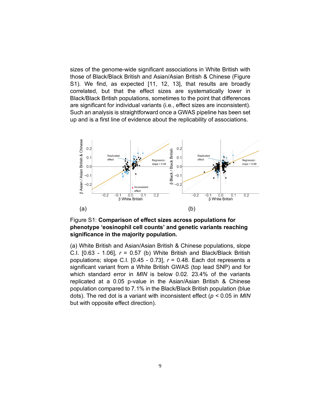sizes of the genome-wide significant associations in White British with those of Black/Black British and Asian/Asian British & Chinese (Figure S1). We find, as expected [11, 12, 13], that results are broadly correlated, but that the effect sizes are systematically lower in Black/Black British populations, sometimes to the point that differences are significant for individual variants (i.e., effect sizes are inconsistent). Such an analysis is straightforward once a GWAS pipeline has been set up and is a first line of evidence about the replicability of associations.



Figure S1: **Comparison of effect sizes across populations for phenotype 'eosinophil cell counts' and genetic variants reaching significance in the majority population.**

(a) White British and Asian/Asian British & Chinese populations, slope C.I. [0.63 - 1.06], *r* = 0*.*57 (b) White British and Black/Black British populations; slope C.I. [0.45 - 0.73], *r* = 0*.*48. Each dot represents a significant variant from a White British GWAS (top lead SNP) and for which standard error in *MIN* is below 0.02. 23*.*4% of the variants replicated at a 0.05 p-value in the Asian/Asian British & Chinese population compared to 7*.*1% in the Black/Black British population (blue dots). The red dot is a variant with inconsistent effect (*p <* 0*.*05 in *MIN*  but with opposite effect direction).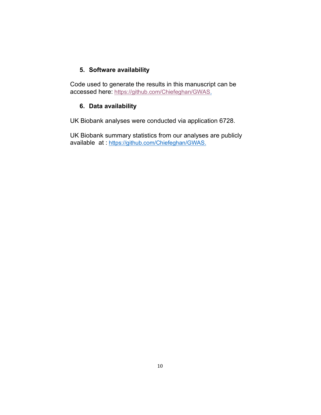#### **5. Software availability**

Code used to generate the results in this manuscript can be accessed here: https://github.com/Chiefeghan/GWAS.

#### **6. Data availability**

UK Biobank analyses were conducted via application 6728.

UK Biobank summary statistics from our analyses are publicly available at : https://github.com/Chiefeghan/GWAS.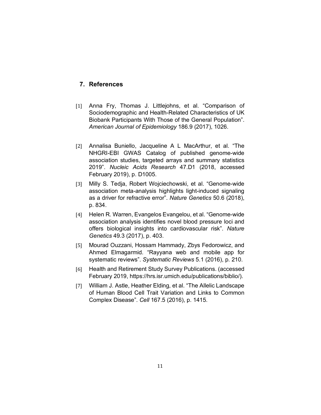#### **7. References**

- [1] Anna Fry, Thomas J. Littlejohns, et al. "Comparison of Sociodemographic and Health-Related Characteristics of UK Biobank Participants With Those of the General Population". *American Journal of Epidemiology* 186.9 (2017), 1026.
- [2] Annalisa Buniello, Jacqueline A L MacArthur, et al. "The NHGRI-EBI GWAS Catalog of published genome-wide association studies, targeted arrays and summary statistics 2019". *Nucleic Acids Research* 47.D1 (2018, accessed February 2019), p. D1005.
- [3] Milly S. Tedja, Robert Wojciechowski, et al. "Genome-wide association meta-analysis highlights light-induced signaling as a driver for refractive error". *Nature Genetics* 50.6 (2018), p. 834.
- [4] Helen R. Warren, Evangelos Evangelou, et al. "Genome-wide association analysis identifies novel blood pressure loci and offers biological insights into cardiovascular risk". *Nature Genetics* 49.3 (2017), p. 403.
- [5] Mourad Ouzzani, Hossam Hammady, Zbys Fedorowicz, and Ahmed Elmagarmid. "Rayyana web and mobile app for systematic reviews". *Systematic Reviews* 5.1 (2016), p. 210.
- [6] Health and Retirement Study Survey Publications. (accessed February 2019, https://hrs.isr.umich.edu/publications/biblio/).
- [7] William J. Astle, Heather Elding, et al. "The Allelic Landscape" of Human Blood Cell Trait Variation and Links to Common Complex Disease". *Cell* 167.5 (2016), p. 1415.